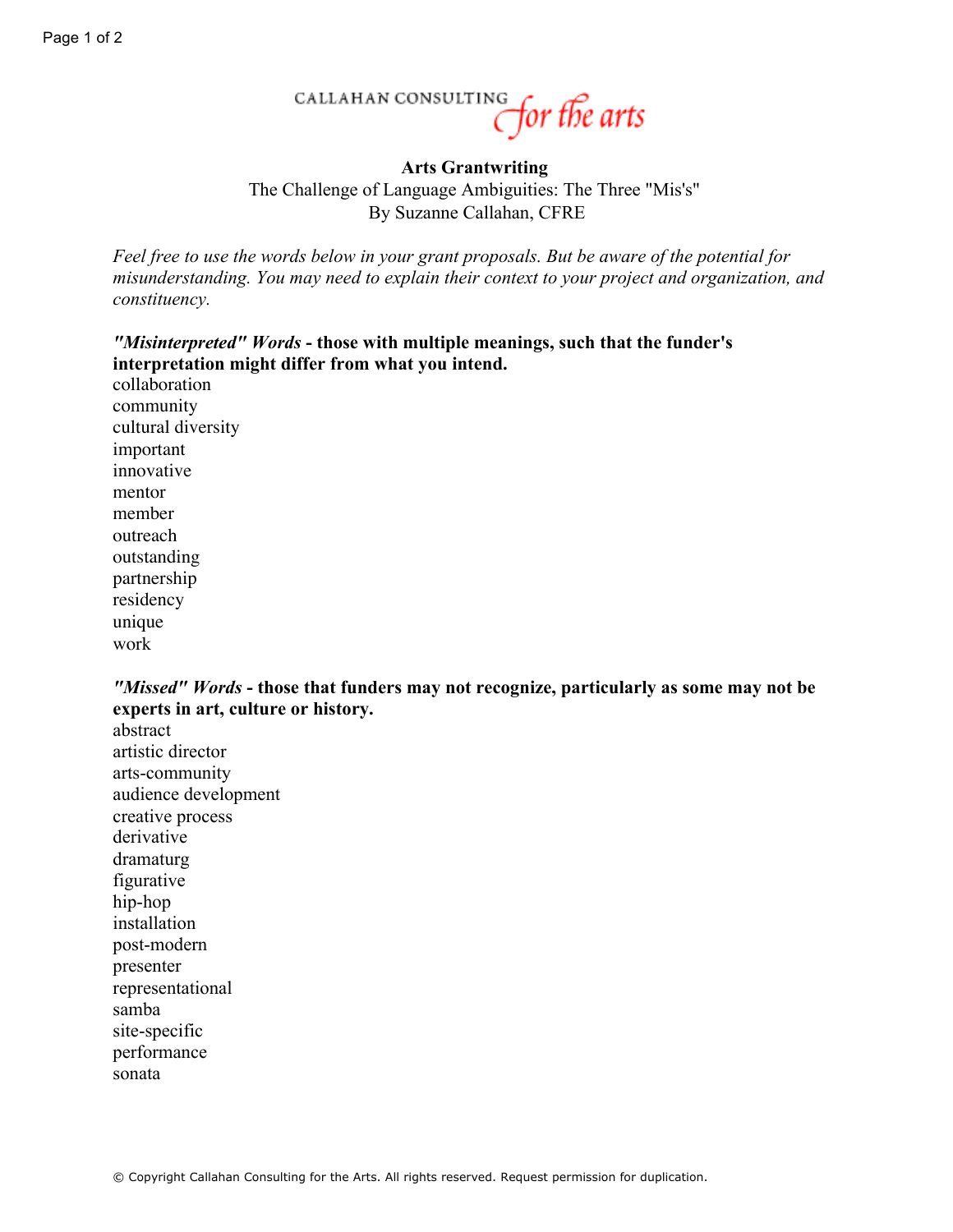## CALLAHAN CONSULTING for the arts

## **Arts Grantwriting** The Challenge of Language Ambiguities: The Three "Mis's" By Suzanne Callahan, CFRE

*Feel free to use the words below in your grant proposals. But be aware of the potential for misunderstanding. You may need to explain their context to your project and organization, and constituency.*

## *"Misinterpreted" Words* **- those with multiple meanings, such that the funder's interpretation might differ from what you intend.**

collaboration community cultural diversity important innovative mentor member outreach outstanding partnership residency unique work

*"Missed" Words* **- those that funders may not recognize, particularly as some may not be experts in art, culture or history.**

abstract artistic director arts-community audience development creative process derivative dramaturg figurative hip-hop installation post-modern presenter representational samba site-specific performance sonata